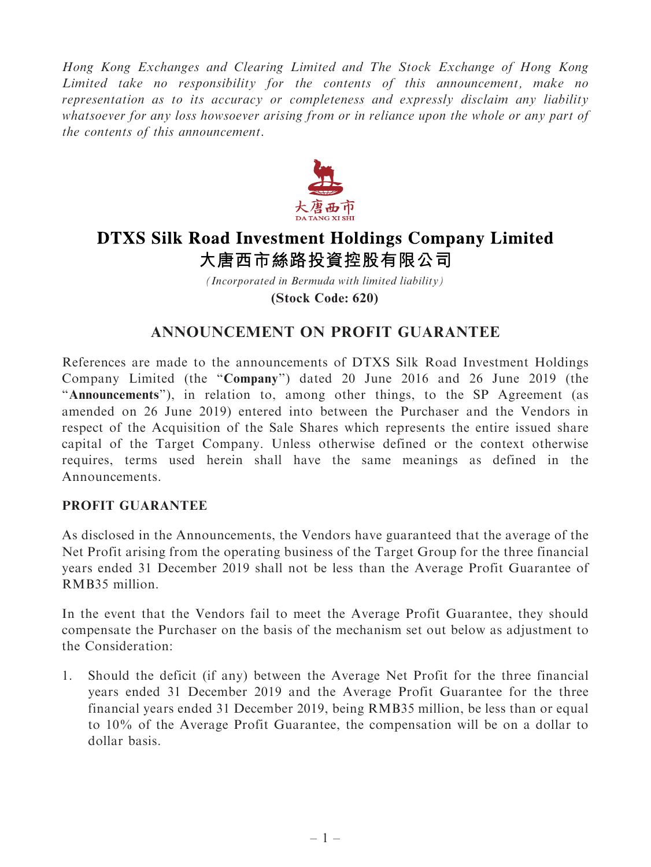Hong Kong Exchanges and Clearing Limited and The Stock Exchange of Hong Kong Limited take no responsibility for the contents of this announcement, make no representation as to its accuracy or completeness and expressly disclaim any liability whatsoever for any loss howsoever arising from or in reliance upon the whole or any part of the contents of this announcement.



# **DTXS Silk Road Investment Holdings Company Limited** 大唐西市絲路投資控股有限公司

*(Incorporated in Bermuda with limited liability)* **(Stock Code: 620)**

## ANNOUNCEMENT ON PROFIT GUARANTEE

References are made to the announcements of DTXS Silk Road Investment Holdings Company Limited (the ''Company'') dated 20 June 2016 and 26 June 2019 (the "Announcements"), in relation to, among other things, to the SP Agreement (as amended on 26 June 2019) entered into between the Purchaser and the Vendors in respect of the Acquisition of the Sale Shares which represents the entire issued share capital of the Target Company. Unless otherwise defined or the context otherwise requires, terms used herein shall have the same meanings as defined in the Announcements.

### PROFIT GUARANTEE

As disclosed in the Announcements, the Vendors have guaranteed that the average of the Net Profit arising from the operating business of the Target Group for the three financial years ended 31 December 2019 shall not be less than the Average Profit Guarantee of RMB35 million.

In the event that the Vendors fail to meet the Average Profit Guarantee, they should compensate the Purchaser on the basis of the mechanism set out below as adjustment to the Consideration:

1. Should the deficit (if any) between the Average Net Profit for the three financial years ended 31 December 2019 and the Average Profit Guarantee for the three financial years ended 31 December 2019, being RMB35 million, be less than or equal to 10% of the Average Profit Guarantee, the compensation will be on a dollar to dollar basis.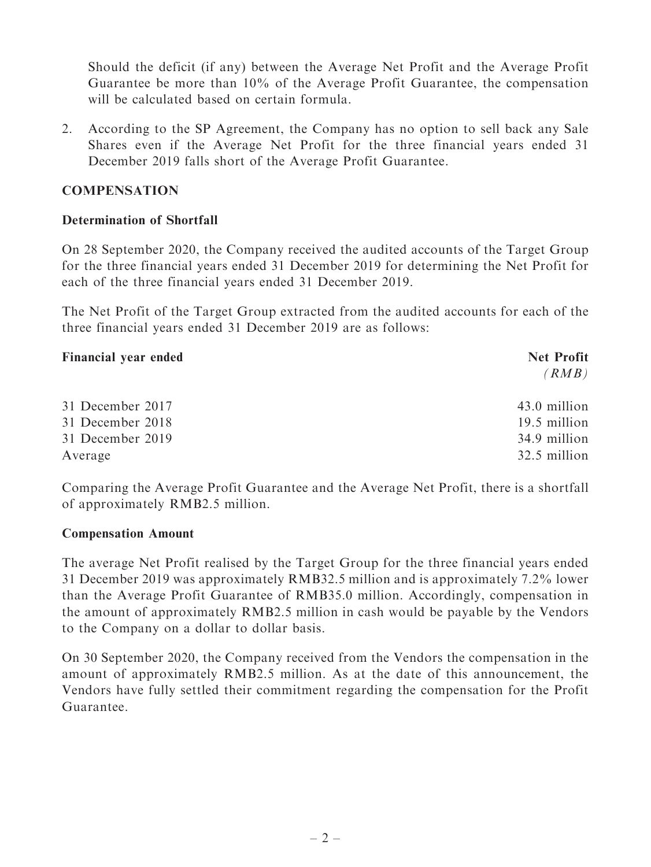Should the deficit (if any) between the Average Net Profit and the Average Profit Guarantee be more than 10% of the Average Profit Guarantee, the compensation will be calculated based on certain formula.

2. According to the SP Agreement, the Company has no option to sell back any Sale Shares even if the Average Net Profit for the three financial years ended 31 December 2019 falls short of the Average Profit Guarantee.

#### **COMPENSATION**

#### Determination of Shortfall

On 28 September 2020, the Company received the audited accounts of the Target Group for the three financial years ended 31 December 2019 for determining the Net Profit for each of the three financial years ended 31 December 2019.

The Net Profit of the Target Group extracted from the audited accounts for each of the three financial years ended 31 December 2019 are as follows:

| <b>Financial year ended</b> | <b>Net Profit</b> |
|-----------------------------|-------------------|
|                             | (RMB)             |
|                             |                   |
| 31 December 2017            | 43.0 million      |
| 31 December 2018            | 19.5 million      |
| 31 December 2019            | 34.9 million      |
| Average                     | 32.5 million      |

Comparing the Average Profit Guarantee and the Average Net Profit, there is a shortfall of approximately RMB2.5 million.

#### Compensation Amount

The average Net Profit realised by the Target Group for the three financial years ended 31 December 2019 was approximately RMB32.5 million and is approximately 7.2% lower than the Average Profit Guarantee of RMB35.0 million. Accordingly, compensation in the amount of approximately RMB2.5 million in cash would be payable by the Vendors to the Company on a dollar to dollar basis.

On 30 September 2020, the Company received from the Vendors the compensation in the amount of approximately RMB2.5 million. As at the date of this announcement, the Vendors have fully settled their commitment regarding the compensation for the Profit Guarantee.